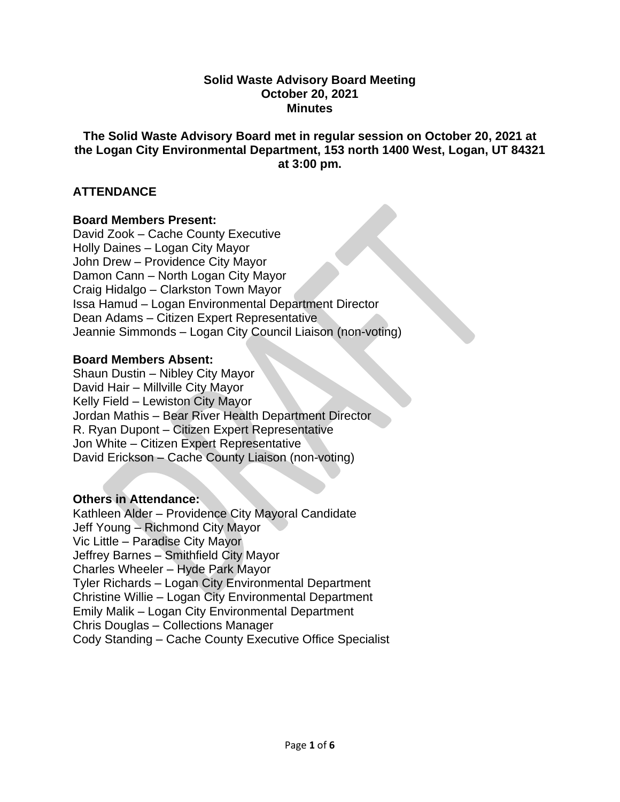#### **Solid Waste Advisory Board Meeting October 20, 2021 Minutes**

### **The Solid Waste Advisory Board met in regular session on October 20, 2021 at the Logan City Environmental Department, 153 north 1400 West, Logan, UT 84321 at 3:00 pm.**

## **ATTENDANCE**

### **Board Members Present:**

David Zook – Cache County Executive Holly Daines – Logan City Mayor John Drew – Providence City Mayor Damon Cann – North Logan City Mayor Craig Hidalgo – Clarkston Town Mayor Issa Hamud – Logan Environmental Department Director Dean Adams – Citizen Expert Representative Jeannie Simmonds – Logan City Council Liaison (non-voting)

### **Board Members Absent:**

Shaun Dustin – Nibley City Mayor David Hair – Millville City Mayor Kelly Field – Lewiston City Mayor Jordan Mathis – Bear River Health Department Director R. Ryan Dupont – Citizen Expert Representative Jon White – Citizen Expert Representative David Erickson – Cache County Liaison (non-voting)

### **Others in Attendance:**

Kathleen Alder – Providence City Mayoral Candidate Jeff Young – Richmond City Mayor Vic Little – Paradise City Mayor Jeffrey Barnes – Smithfield City Mayor Charles Wheeler – Hyde Park Mayor Tyler Richards – Logan City Environmental Department Christine Willie – Logan City Environmental Department Emily Malik – Logan City Environmental Department Chris Douglas – Collections Manager Cody Standing – Cache County Executive Office Specialist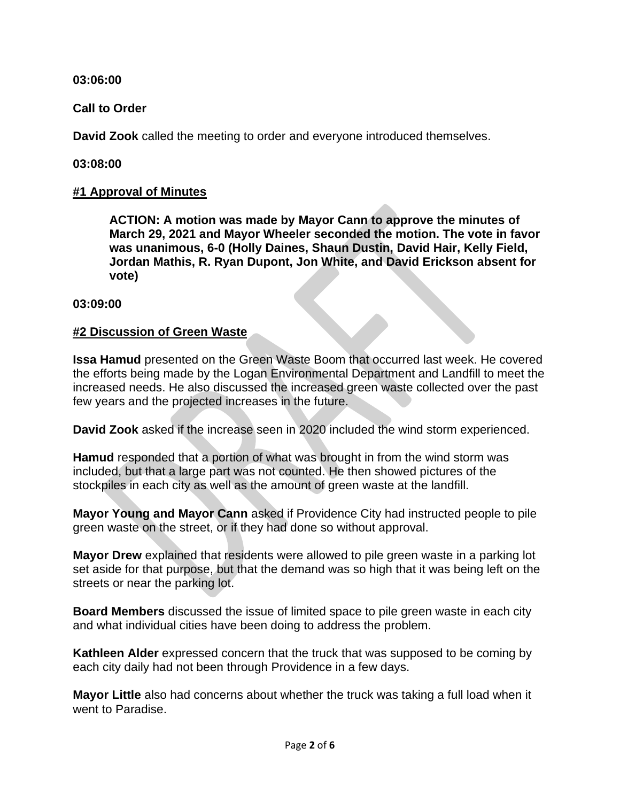**03:06:00**

**Call to Order**

**David Zook** called the meeting to order and everyone introduced themselves.

**03:08:00**

# **#1 Approval of Minutes**

**ACTION: A motion was made by Mayor Cann to approve the minutes of March 29, 2021 and Mayor Wheeler seconded the motion. The vote in favor was unanimous, 6-0 (Holly Daines, Shaun Dustin, David Hair, Kelly Field, Jordan Mathis, R. Ryan Dupont, Jon White, and David Erickson absent for vote)**

## **03:09:00**

## **#2 Discussion of Green Waste**

**Issa Hamud** presented on the Green Waste Boom that occurred last week. He covered the efforts being made by the Logan Environmental Department and Landfill to meet the increased needs. He also discussed the increased green waste collected over the past few years and the projected increases in the future.

**David Zook** asked if the increase seen in 2020 included the wind storm experienced.

**Hamud** responded that a portion of what was brought in from the wind storm was included, but that a large part was not counted. He then showed pictures of the stockpiles in each city as well as the amount of green waste at the landfill.

**Mayor Young and Mayor Cann** asked if Providence City had instructed people to pile green waste on the street, or if they had done so without approval.

**Mayor Drew** explained that residents were allowed to pile green waste in a parking lot set aside for that purpose, but that the demand was so high that it was being left on the streets or near the parking lot.

**Board Members** discussed the issue of limited space to pile green waste in each city and what individual cities have been doing to address the problem.

**Kathleen Alder** expressed concern that the truck that was supposed to be coming by each city daily had not been through Providence in a few days.

**Mayor Little** also had concerns about whether the truck was taking a full load when it went to Paradise.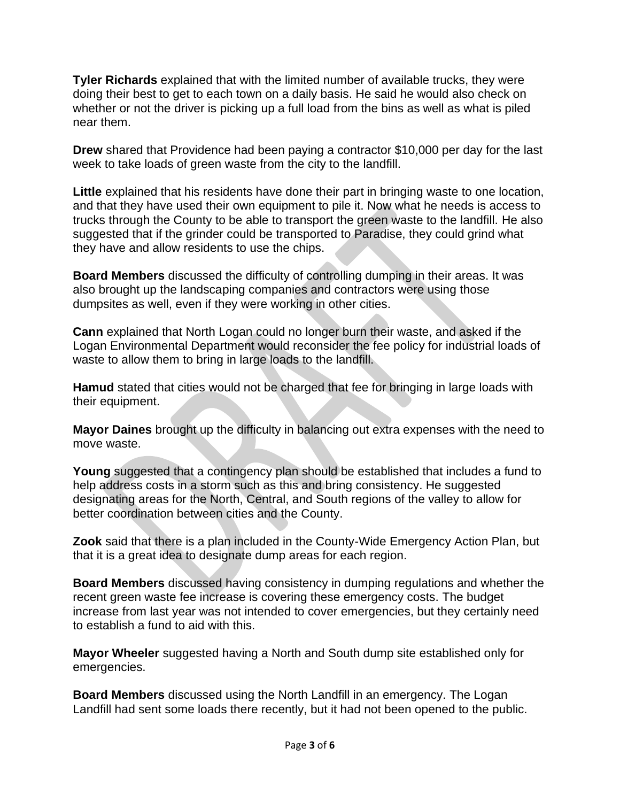**Tyler Richards** explained that with the limited number of available trucks, they were doing their best to get to each town on a daily basis. He said he would also check on whether or not the driver is picking up a full load from the bins as well as what is piled near them.

**Drew** shared that Providence had been paying a contractor \$10,000 per day for the last week to take loads of green waste from the city to the landfill.

**Little** explained that his residents have done their part in bringing waste to one location, and that they have used their own equipment to pile it. Now what he needs is access to trucks through the County to be able to transport the green waste to the landfill. He also suggested that if the grinder could be transported to Paradise, they could grind what they have and allow residents to use the chips.

**Board Members** discussed the difficulty of controlling dumping in their areas. It was also brought up the landscaping companies and contractors were using those dumpsites as well, even if they were working in other cities.

**Cann** explained that North Logan could no longer burn their waste, and asked if the Logan Environmental Department would reconsider the fee policy for industrial loads of waste to allow them to bring in large loads to the landfill.

**Hamud** stated that cities would not be charged that fee for bringing in large loads with their equipment.

**Mayor Daines** brought up the difficulty in balancing out extra expenses with the need to move waste.

**Young** suggested that a contingency plan should be established that includes a fund to help address costs in a storm such as this and bring consistency. He suggested designating areas for the North, Central, and South regions of the valley to allow for better coordination between cities and the County.

**Zook** said that there is a plan included in the County-Wide Emergency Action Plan, but that it is a great idea to designate dump areas for each region.

**Board Members** discussed having consistency in dumping regulations and whether the recent green waste fee increase is covering these emergency costs. The budget increase from last year was not intended to cover emergencies, but they certainly need to establish a fund to aid with this.

**Mayor Wheeler** suggested having a North and South dump site established only for emergencies.

**Board Members** discussed using the North Landfill in an emergency. The Logan Landfill had sent some loads there recently, but it had not been opened to the public.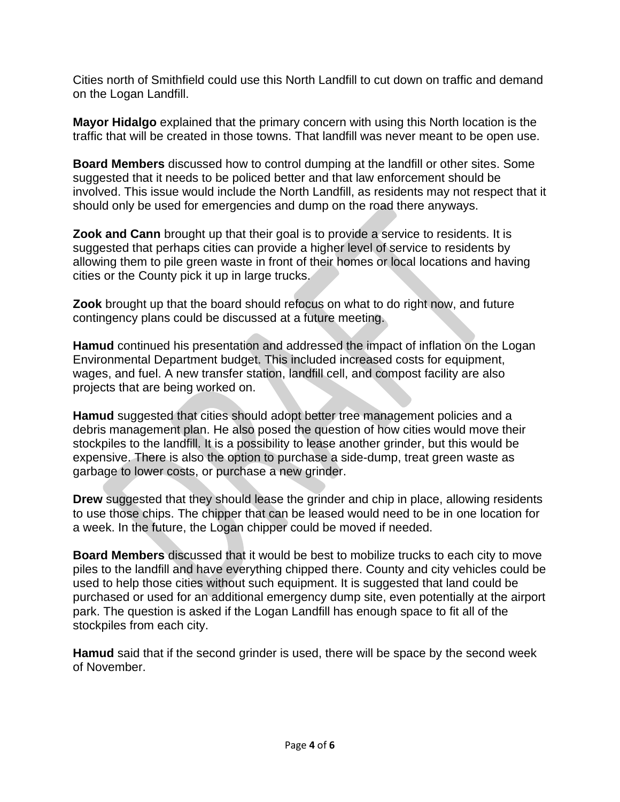Cities north of Smithfield could use this North Landfill to cut down on traffic and demand on the Logan Landfill.

**Mayor Hidalgo** explained that the primary concern with using this North location is the traffic that will be created in those towns. That landfill was never meant to be open use.

**Board Members** discussed how to control dumping at the landfill or other sites. Some suggested that it needs to be policed better and that law enforcement should be involved. This issue would include the North Landfill, as residents may not respect that it should only be used for emergencies and dump on the road there anyways.

**Zook and Cann** brought up that their goal is to provide a service to residents. It is suggested that perhaps cities can provide a higher level of service to residents by allowing them to pile green waste in front of their homes or local locations and having cities or the County pick it up in large trucks.

**Zook** brought up that the board should refocus on what to do right now, and future contingency plans could be discussed at a future meeting.

**Hamud** continued his presentation and addressed the impact of inflation on the Logan Environmental Department budget. This included increased costs for equipment, wages, and fuel. A new transfer station, landfill cell, and compost facility are also projects that are being worked on.

**Hamud** suggested that cities should adopt better tree management policies and a debris management plan. He also posed the question of how cities would move their stockpiles to the landfill. It is a possibility to lease another grinder, but this would be expensive. There is also the option to purchase a side-dump, treat green waste as garbage to lower costs, or purchase a new grinder.

**Drew** suggested that they should lease the grinder and chip in place, allowing residents to use those chips. The chipper that can be leased would need to be in one location for a week. In the future, the Logan chipper could be moved if needed.

**Board Members** discussed that it would be best to mobilize trucks to each city to move piles to the landfill and have everything chipped there. County and city vehicles could be used to help those cities without such equipment. It is suggested that land could be purchased or used for an additional emergency dump site, even potentially at the airport park. The question is asked if the Logan Landfill has enough space to fit all of the stockpiles from each city.

**Hamud** said that if the second grinder is used, there will be space by the second week of November.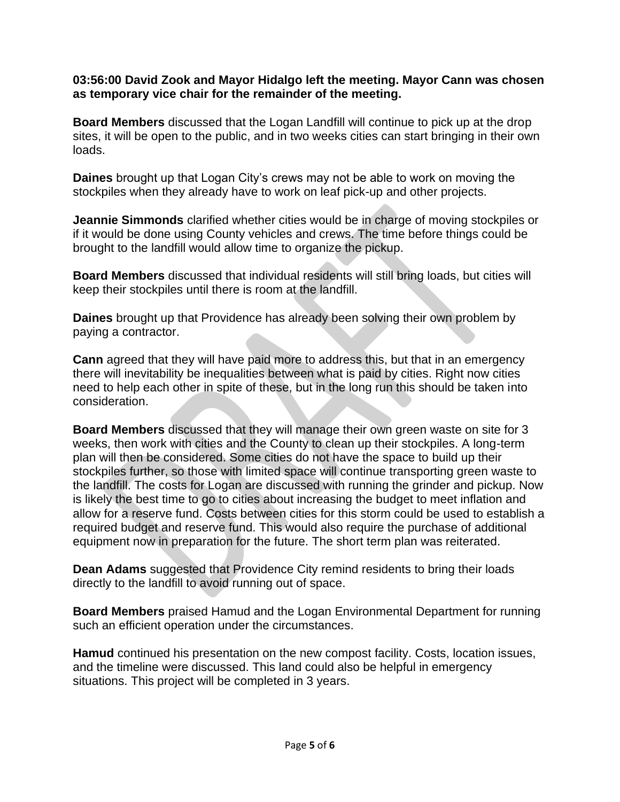### **03:56:00 David Zook and Mayor Hidalgo left the meeting. Mayor Cann was chosen as temporary vice chair for the remainder of the meeting.**

**Board Members** discussed that the Logan Landfill will continue to pick up at the drop sites, it will be open to the public, and in two weeks cities can start bringing in their own loads.

**Daines** brought up that Logan City's crews may not be able to work on moving the stockpiles when they already have to work on leaf pick-up and other projects.

**Jeannie Simmonds** clarified whether cities would be in charge of moving stockpiles or if it would be done using County vehicles and crews. The time before things could be brought to the landfill would allow time to organize the pickup.

**Board Members** discussed that individual residents will still bring loads, but cities will keep their stockpiles until there is room at the landfill.

**Daines** brought up that Providence has already been solving their own problem by paying a contractor.

**Cann** agreed that they will have paid more to address this, but that in an emergency there will inevitability be inequalities between what is paid by cities. Right now cities need to help each other in spite of these, but in the long run this should be taken into consideration.

**Board Members** discussed that they will manage their own green waste on site for 3 weeks, then work with cities and the County to clean up their stockpiles. A long-term plan will then be considered. Some cities do not have the space to build up their stockpiles further, so those with limited space will continue transporting green waste to the landfill. The costs for Logan are discussed with running the grinder and pickup. Now is likely the best time to go to cities about increasing the budget to meet inflation and allow for a reserve fund. Costs between cities for this storm could be used to establish a required budget and reserve fund. This would also require the purchase of additional equipment now in preparation for the future. The short term plan was reiterated.

**Dean Adams** suggested that Providence City remind residents to bring their loads directly to the landfill to avoid running out of space.

**Board Members** praised Hamud and the Logan Environmental Department for running such an efficient operation under the circumstances.

**Hamud** continued his presentation on the new compost facility. Costs, location issues, and the timeline were discussed. This land could also be helpful in emergency situations. This project will be completed in 3 years.